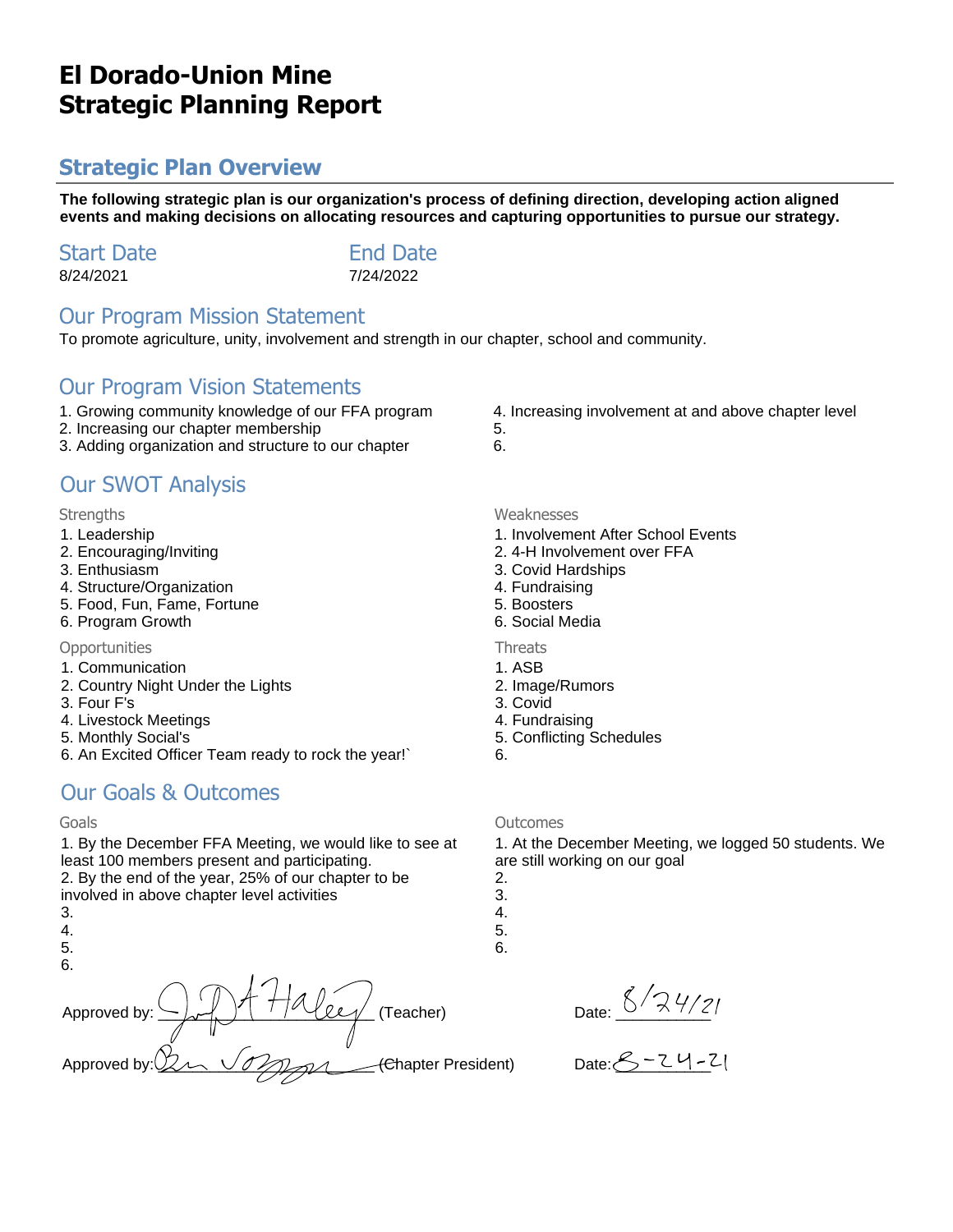# **El Dorado-Union Mine Strategic Planning Report**

# **Strategic Plan Overview**

**The following strategic plan is our organization's process of defining direction, developing action aligned events and making decisions on allocating resources and capturing opportunities to pursue our strategy.**

| <b>Start Date</b> | <b>End Date</b> |
|-------------------|-----------------|
| 8/24/2021         | 7/24/2022       |

### Our Program Mission Statement

To promote agriculture, unity, involvement and strength in our chapter, school and community.

### Our Program Vision Statements

- 1. Growing community knowledge of our FFA program
- 2. Increasing our chapter membership
- 3. Adding organization and structure to our chapter

## Our SWOT Analysis

#### Strengths Weaknesses

- 1. Leadership
- 2. Encouraging/Inviting
- 3. Enthusiasm
- 4. Structure/Organization
- 5. Food, Fun, Fame, Fortune
- 6. Program Growth

#### Opportunities **Threats**

- 1. Communication
- 2. Country Night Under the Lights
- 3. Four F's
- 4. Livestock Meetings
- 5. Monthly Social's
- 6. An Excited Officer Team ready to rock the year!`

## Our Goals & Outcomes

1. By the December FFA Meeting, we would like to see at least 100 members present and participating.

2. By the end of the year, 25% of our chapter to be involved in above chapter level activities

- 3.
- 4.
- 5.
- 6.



4. Increasing involvement at and above chapter level

- 5. 6.
	-
	- 1. Involvement After School Events
- 2. 4-H Involvement over FFA
- 3. Covid Hardships
- 4. Fundraising
- 5. Boosters
- 6. Social Media

- 1. ASB
- 2. Image/Rumors
- 3. Covid
- 4. Fundraising
- 5. Conflicting Schedules
- 6.

### Goals Outcomes

1. At the December Meeting, we logged 50 students. We are still working on our goal

- 2.
- 3. 4.
- 5.
- 6.

Date:  $\frac{\zeta}{\sqrt{2}}\frac{4}{21}$ 

 $Date: 8 - 24 - 21$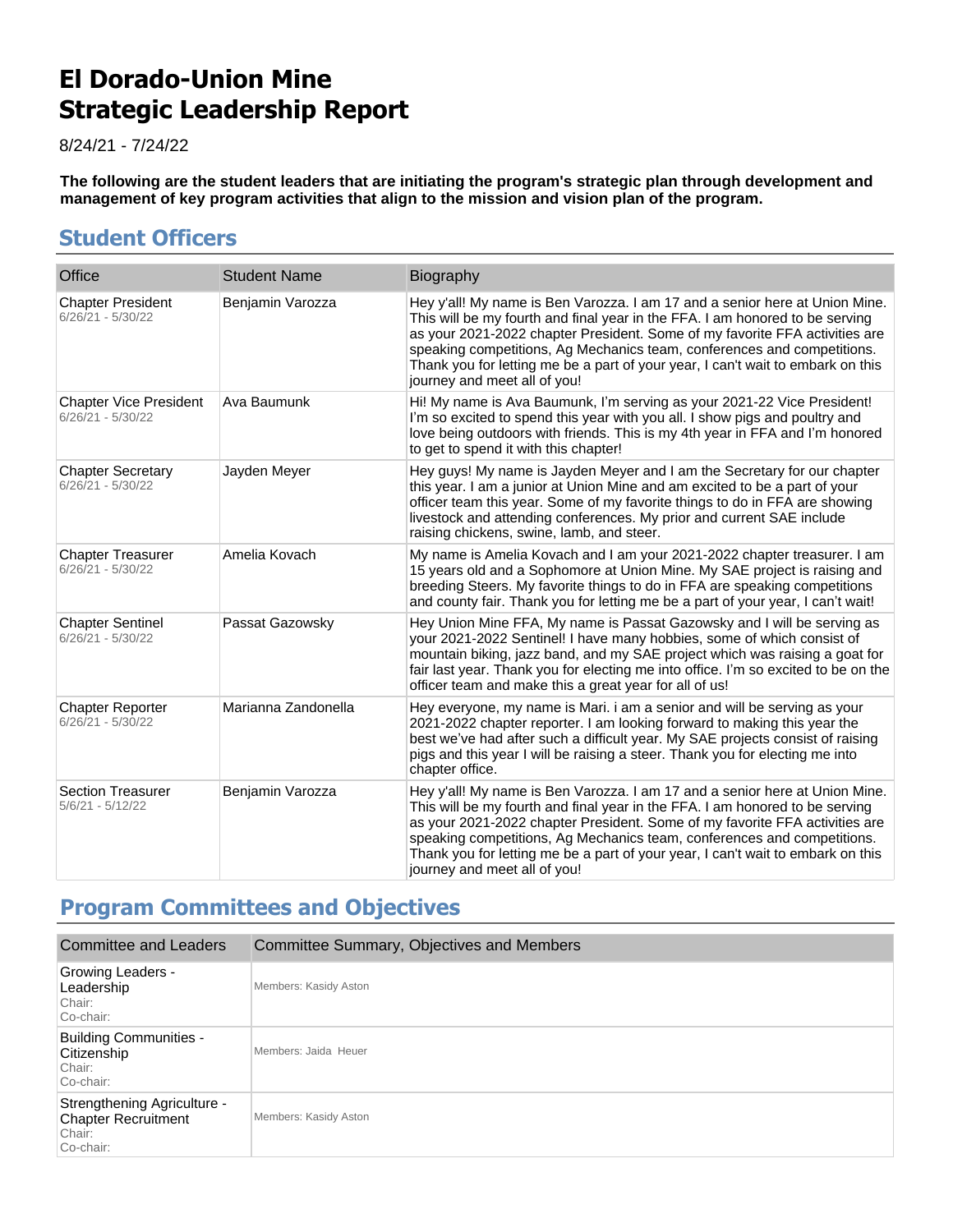# **El Dorado-Union Mine Strategic Leadership Report**

8/24/21 - 7/24/22

**The following are the student leaders that are initiating the program's strategic plan through development and management of key program activities that align to the mission and vision plan of the program.**

# **Student Officers**

| Office                                               | <b>Student Name</b> | Biography                                                                                                                                                                                                                                                                                                                                                                                                                                |
|------------------------------------------------------|---------------------|------------------------------------------------------------------------------------------------------------------------------------------------------------------------------------------------------------------------------------------------------------------------------------------------------------------------------------------------------------------------------------------------------------------------------------------|
| <b>Chapter President</b><br>$6/26/21 - 5/30/22$      | Benjamin Varozza    | Hey y'all! My name is Ben Varozza. I am 17 and a senior here at Union Mine.<br>This will be my fourth and final year in the FFA. I am honored to be serving<br>as your 2021-2022 chapter President. Some of my favorite FFA activities are<br>speaking competitions, Ag Mechanics team, conferences and competitions.<br>Thank you for letting me be a part of your year, I can't wait to embark on this<br>journey and meet all of you! |
| <b>Chapter Vice President</b><br>$6/26/21 - 5/30/22$ | Ava Baumunk         | Hi! My name is Ava Baumunk, I'm serving as your 2021-22 Vice President!<br>I'm so excited to spend this year with you all. I show pigs and poultry and<br>love being outdoors with friends. This is my 4th year in FFA and I'm honored<br>to get to spend it with this chapter!                                                                                                                                                          |
| <b>Chapter Secretary</b><br>$6/26/21 - 5/30/22$      | Jayden Meyer        | Hey guys! My name is Jayden Meyer and I am the Secretary for our chapter<br>this year. I am a junior at Union Mine and am excited to be a part of your<br>officer team this year. Some of my favorite things to do in FFA are showing<br>livestock and attending conferences. My prior and current SAE include<br>raising chickens, swine, lamb, and steer.                                                                              |
| <b>Chapter Treasurer</b><br>$6/26/21 - 5/30/22$      | Amelia Kovach       | My name is Amelia Kovach and I am your 2021-2022 chapter treasurer. I am<br>15 years old and a Sophomore at Union Mine. My SAE project is raising and<br>breeding Steers. My favorite things to do in FFA are speaking competitions<br>and county fair. Thank you for letting me be a part of your year, I can't wait!                                                                                                                   |
| <b>Chapter Sentinel</b><br>$6/26/21 - 5/30/22$       | Passat Gazowsky     | Hey Union Mine FFA, My name is Passat Gazowsky and I will be serving as<br>your 2021-2022 Sentinel! I have many hobbies, some of which consist of<br>mountain biking, jazz band, and my SAE project which was raising a goat for<br>fair last year. Thank you for electing me into office. I'm so excited to be on the<br>officer team and make this a great year for all of us!                                                         |
| <b>Chapter Reporter</b><br>$6/26/21 - 5/30/22$       | Marianna Zandonella | Hey everyone, my name is Mari. i am a senior and will be serving as your<br>2021-2022 chapter reporter. I am looking forward to making this year the<br>best we've had after such a difficult year. My SAE projects consist of raising<br>pigs and this year I will be raising a steer. Thank you for electing me into<br>chapter office.                                                                                                |
| <b>Section Treasurer</b><br>$5/6/21 - 5/12/22$       | Benjamin Varozza    | Hey y'all! My name is Ben Varozza. I am 17 and a senior here at Union Mine.<br>This will be my fourth and final year in the FFA. I am honored to be serving<br>as your 2021-2022 chapter President. Some of my favorite FFA activities are<br>speaking competitions, Ag Mechanics team, conferences and competitions.<br>Thank you for letting me be a part of your year, I can't wait to embark on this<br>journey and meet all of you! |

# **Program Committees and Objectives**

| Committee and Leaders                                                            | Committee Summary, Objectives and Members |
|----------------------------------------------------------------------------------|-------------------------------------------|
| <b>Growing Leaders -</b><br>Leadership<br>Chair:<br>Co-chair:                    | Members: Kasidy Aston                     |
| <b>Building Communities -</b><br>Citizenship<br>Chair:<br>Co-chair:              | Members: Jaida Heuer                      |
| Strengthening Agriculture -<br><b>Chapter Recruitment</b><br>Chair:<br>Co-chair: | Members: Kasidy Aston                     |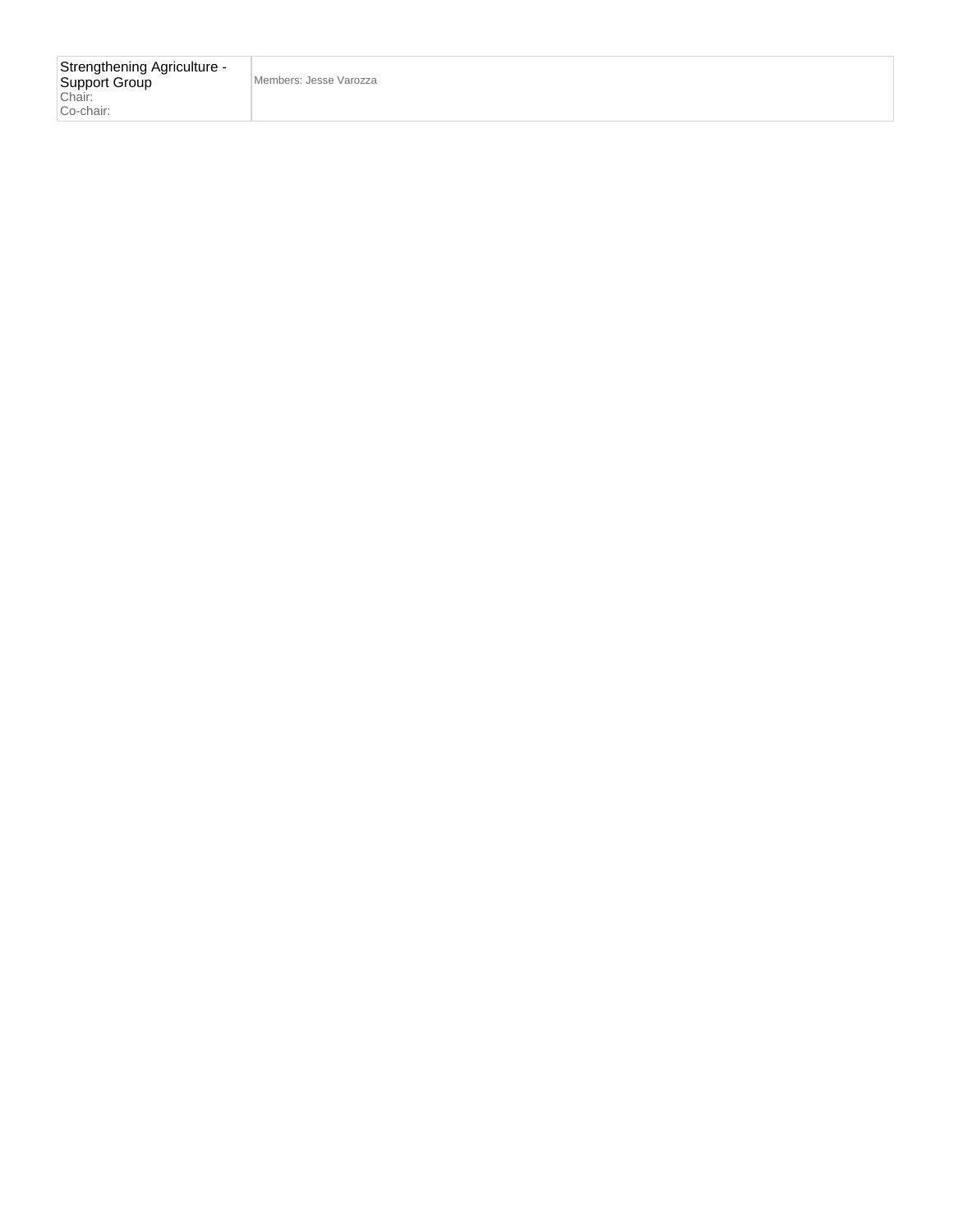Members: Jesse Varozza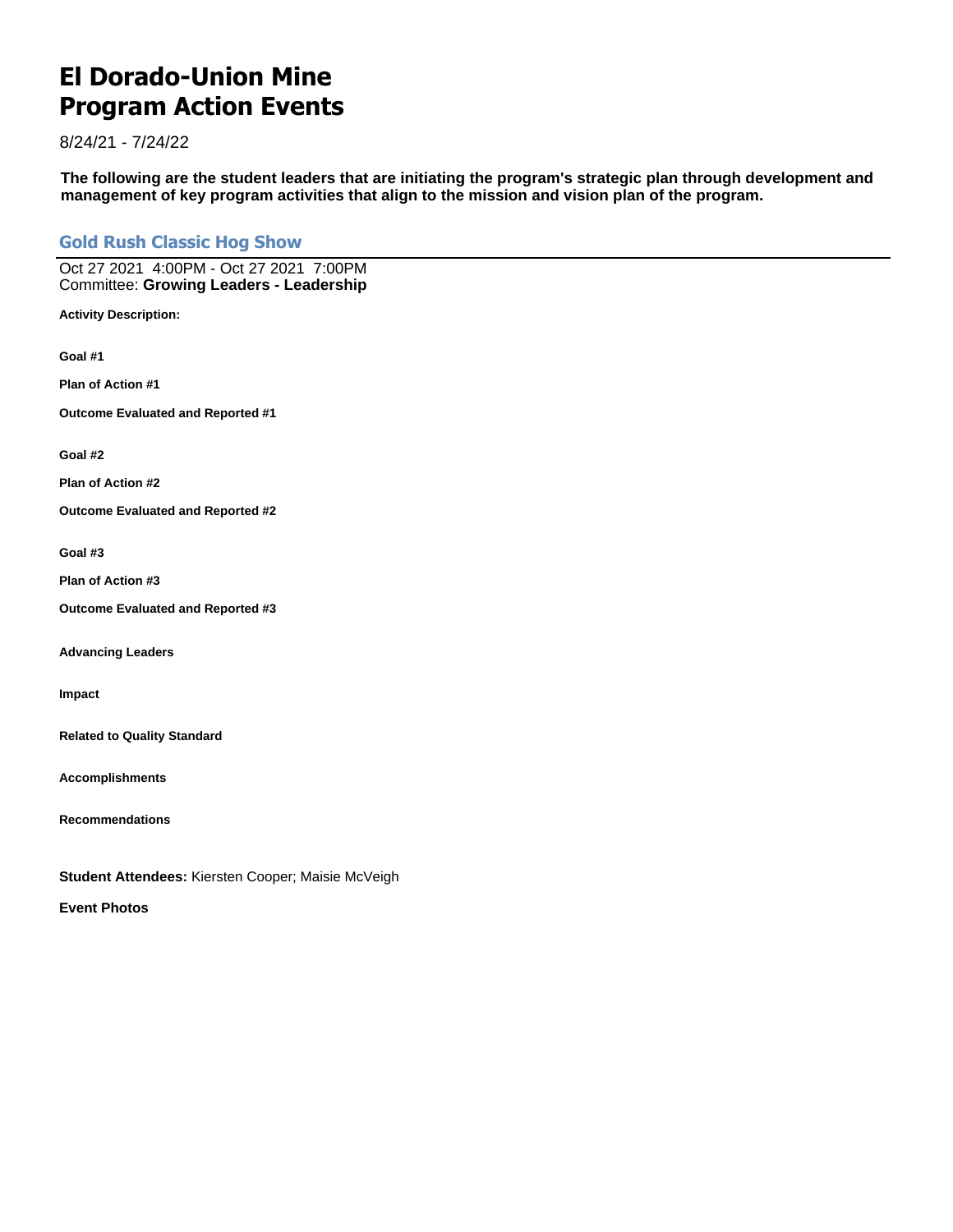# **El Dorado-Union Mine Program Action Events**

8/24/21 - 7/24/22

**The following are the student leaders that are initiating the program's strategic plan through development and management of key program activities that align to the mission and vision plan of the program.**

### **Gold Rush Classic Hog Show**

Oct 27 2021 4:00PM - Oct 27 2021 7:00PM Committee: **Growing Leaders - Leadership**

**Activity Description:**

**Goal #1**

**Plan of Action #1**

**Outcome Evaluated and Reported #1**

**Goal #2**

**Plan of Action #2**

**Outcome Evaluated and Reported #2**

#### **Goal #3**

**Plan of Action #3**

**Outcome Evaluated and Reported #3**

**Advancing Leaders**

**Impact**

**Related to Quality Standard**

**Accomplishments**

**Recommendations**

**Student Attendees:** Kiersten Cooper; Maisie McVeigh

**Event Photos**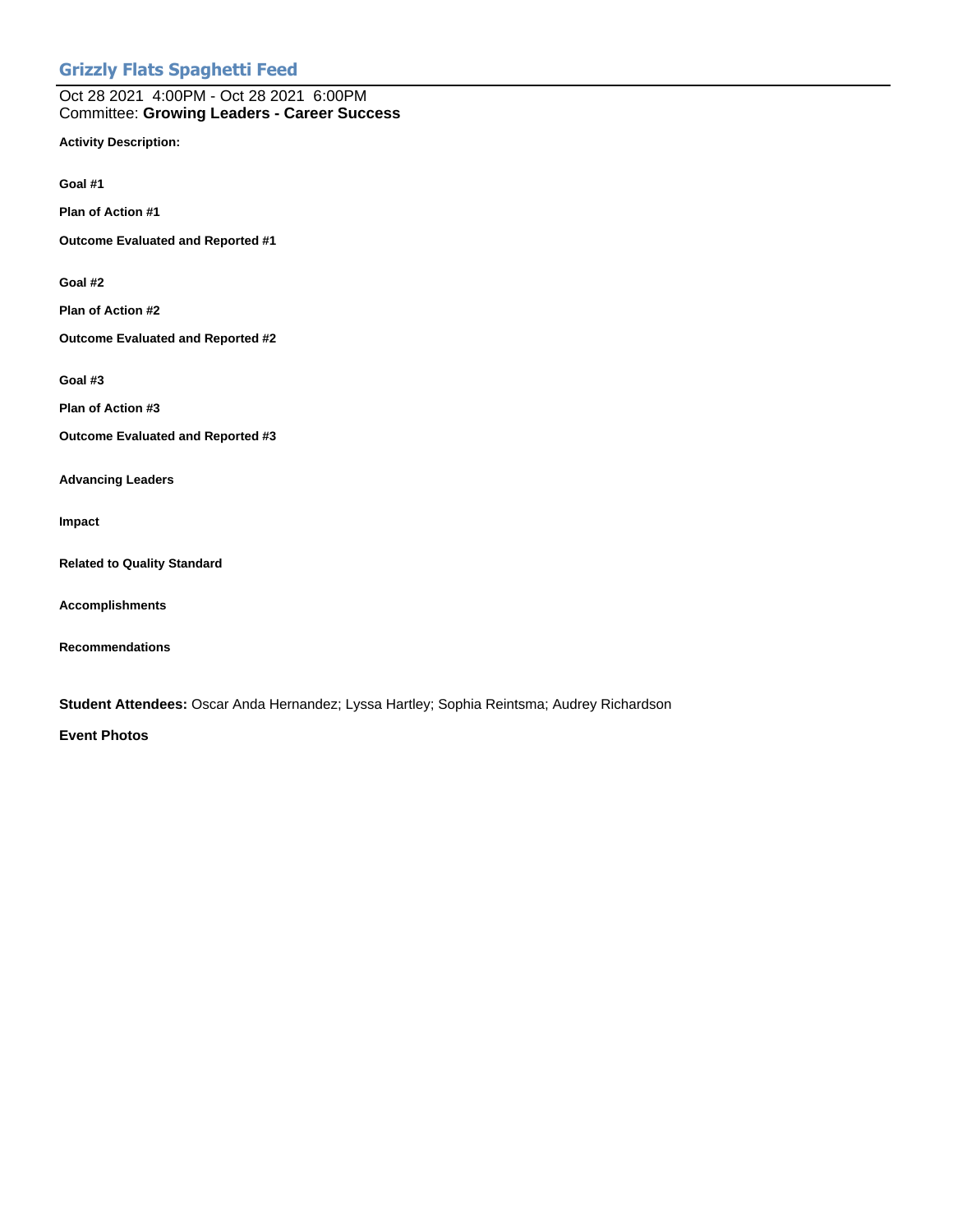### **Grizzly Flats Spaghetti Feed**

#### Oct 28 2021 4:00PM - Oct 28 2021 6:00PM Committee: **Growing Leaders - Career Success**

**Activity Description:**

**Goal #1**

**Plan of Action #1**

**Outcome Evaluated and Reported #1**

**Goal #2**

**Plan of Action #2**

**Outcome Evaluated and Reported #2**

**Goal #3**

**Plan of Action #3**

**Outcome Evaluated and Reported #3**

**Advancing Leaders**

**Impact**

**Related to Quality Standard**

**Accomplishments**

**Recommendations**

**Student Attendees:** Oscar Anda Hernandez; Lyssa Hartley; Sophia Reintsma; Audrey Richardson

**Event Photos**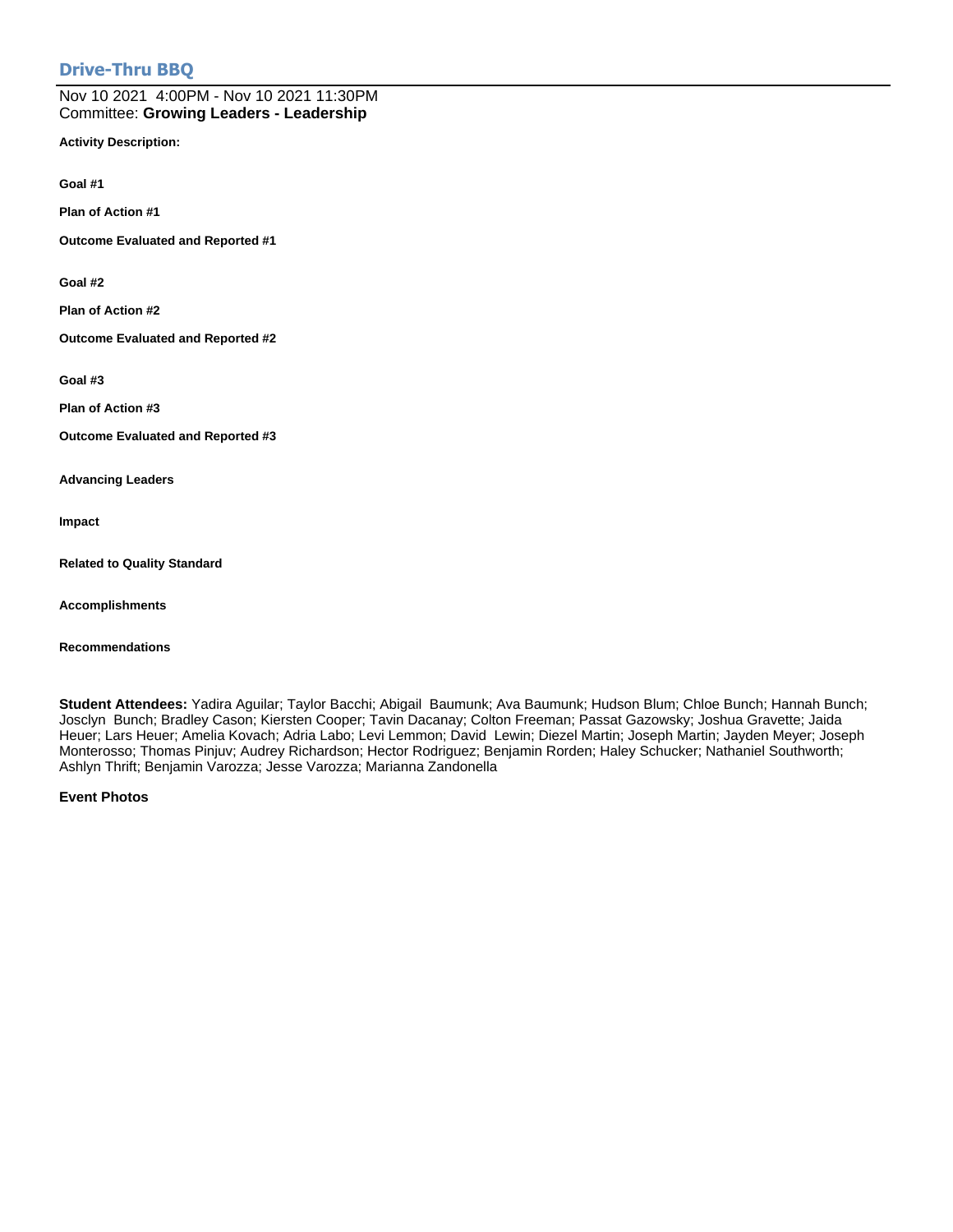### **Drive-Thru BBQ**

Nov 10 2021 4:00PM - Nov 10 2021 11:30PM Committee: **Growing Leaders - Leadership**

**Activity Description:**

**Goal #1**

**Plan of Action #1**

**Outcome Evaluated and Reported #1**

**Goal #2**

**Plan of Action #2**

**Outcome Evaluated and Reported #2**

**Goal #3**

**Plan of Action #3**

**Outcome Evaluated and Reported #3**

**Advancing Leaders**

**Impact**

**Related to Quality Standard**

**Accomplishments**

**Recommendations**

**Student Attendees:** Yadira Aguilar; Taylor Bacchi; Abigail Baumunk; Ava Baumunk; Hudson Blum; Chloe Bunch; Hannah Bunch; Josclyn Bunch; Bradley Cason; Kiersten Cooper; Tavin Dacanay; Colton Freeman; Passat Gazowsky; Joshua Gravette; Jaida Heuer; Lars Heuer; Amelia Kovach; Adria Labo; Levi Lemmon; David Lewin; Diezel Martin; Joseph Martin; Jayden Meyer; Joseph Monterosso; Thomas Pinjuv; Audrey Richardson; Hector Rodriguez; Benjamin Rorden; Haley Schucker; Nathaniel Southworth; Ashlyn Thrift; Benjamin Varozza; Jesse Varozza; Marianna Zandonella

**Event Photos**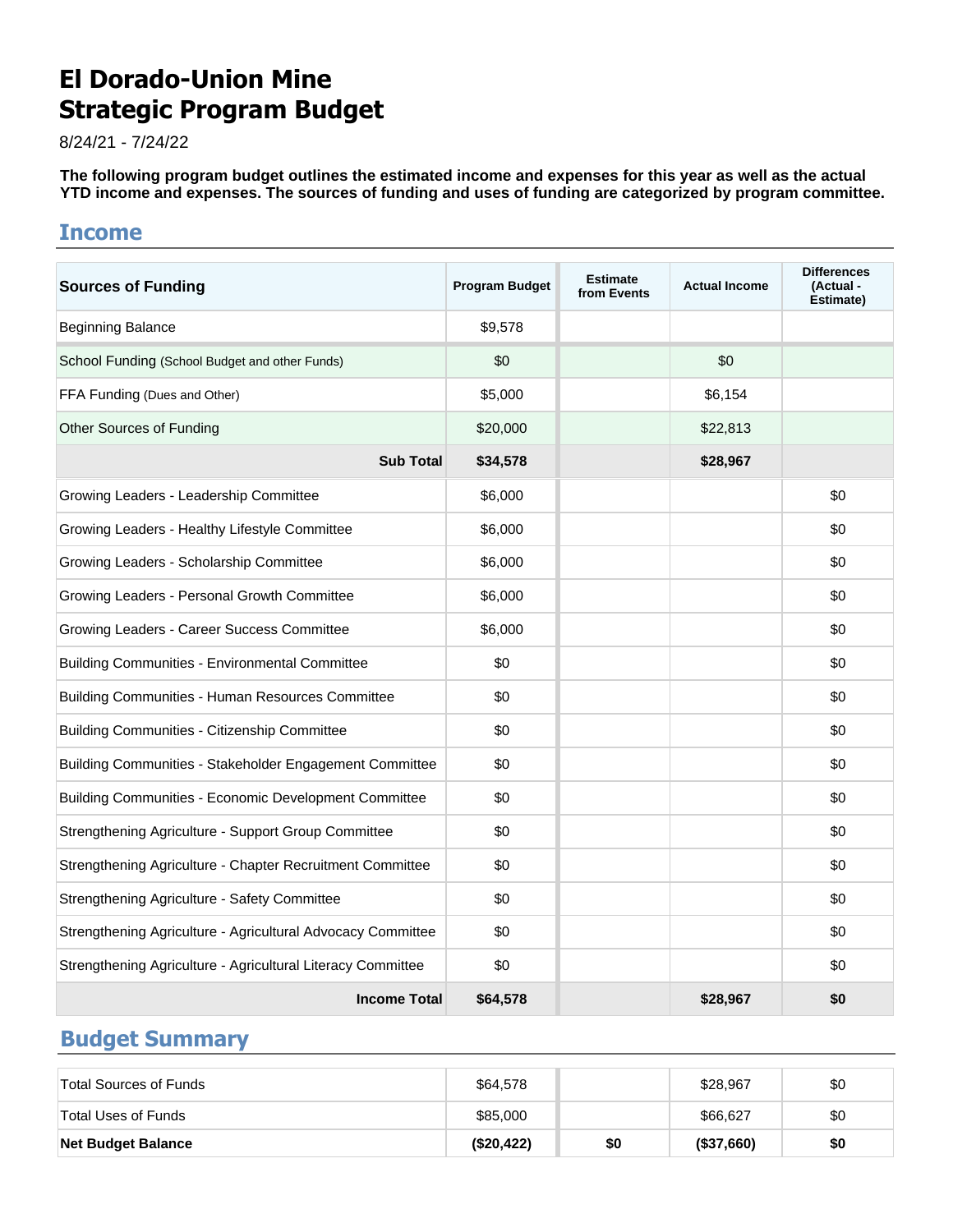# **El Dorado-Union Mine Strategic Program Budget**

8/24/21 - 7/24/22

**The following program budget outlines the estimated income and expenses for this year as well as the actual YTD income and expenses. The sources of funding and uses of funding are categorized by program committee.**

### **Income**

| <b>Sources of Funding</b>                                   | <b>Program Budget</b> | <b>Estimate</b><br>from Events | <b>Actual Income</b> | <b>Differences</b><br>(Actual -<br>Estimate) |
|-------------------------------------------------------------|-----------------------|--------------------------------|----------------------|----------------------------------------------|
| <b>Beginning Balance</b>                                    | \$9,578               |                                |                      |                                              |
| School Funding (School Budget and other Funds)              | \$0                   |                                | \$0                  |                                              |
| FFA Funding (Dues and Other)                                | \$5,000               |                                | \$6,154              |                                              |
| <b>Other Sources of Funding</b>                             | \$20,000              |                                | \$22,813             |                                              |
| <b>Sub Total</b>                                            | \$34,578              |                                | \$28,967             |                                              |
| Growing Leaders - Leadership Committee                      | \$6,000               |                                |                      | \$0                                          |
| Growing Leaders - Healthy Lifestyle Committee               | \$6,000               |                                |                      | \$0                                          |
| Growing Leaders - Scholarship Committee                     | \$6,000               |                                |                      | \$0                                          |
| Growing Leaders - Personal Growth Committee                 | \$6,000               |                                |                      | \$0                                          |
| Growing Leaders - Career Success Committee                  | \$6,000               |                                |                      | \$0                                          |
| <b>Building Communities - Environmental Committee</b>       | \$0                   |                                |                      | \$0                                          |
| Building Communities - Human Resources Committee            | \$0                   |                                |                      | \$0                                          |
| <b>Building Communities - Citizenship Committee</b>         | \$0                   |                                |                      | \$0                                          |
| Building Communities - Stakeholder Engagement Committee     | \$0                   |                                |                      | \$0                                          |
| Building Communities - Economic Development Committee       | \$0                   |                                |                      | \$0                                          |
| Strengthening Agriculture - Support Group Committee         | \$0                   |                                |                      | \$0                                          |
| Strengthening Agriculture - Chapter Recruitment Committee   | \$0                   |                                |                      | \$0                                          |
| Strengthening Agriculture - Safety Committee                | \$0                   |                                |                      | \$0                                          |
| Strengthening Agriculture - Agricultural Advocacy Committee | \$0                   |                                |                      | \$0                                          |
| Strengthening Agriculture - Agricultural Literacy Committee | \$0                   |                                |                      | \$0                                          |
| <b>Income Total</b>                                         | \$64,578              |                                | \$28,967             | \$0                                          |

# **Budget Summary**

| <b>Net Budget Balance</b> | (\$20,422) | \$0 | (\$37,660) | \$0 |
|---------------------------|------------|-----|------------|-----|
| Total Uses of Funds       | \$85,000   |     | \$66,627   | \$0 |
| Total Sources of Funds    | \$64,578   |     | \$28,967   | \$0 |